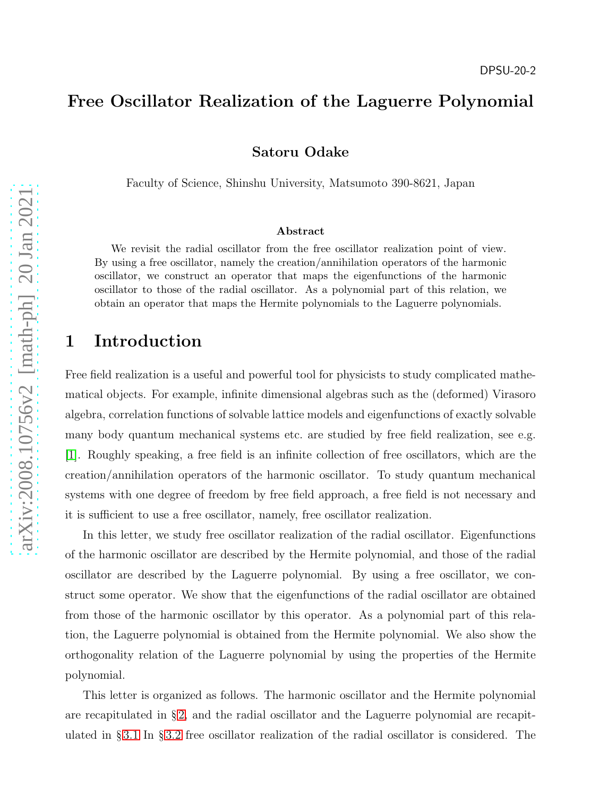### Free Oscillator Realization of the Laguerre Polynomial

Satoru Odake

Faculty of Science, Shinshu University, Matsumoto 390-8621, Japan

#### Abstract

We revisit the radial oscillator from the free oscillator realization point of view. By using a free oscillator, namely the creation/annihilation operators of the harmonic oscillator, we construct an operator that maps the eigenfunctions of the harmonic oscillator to those of the radial oscillator. As a polynomial part of this relation, we obtain an operator that maps the Hermite polynomials to the Laguerre polynomials.

### 1 Introduction

Free field realization is a useful and powerful tool for physicists to study complicated mathematical objects. For example, infinite dimensional algebras such as the (deformed) Virasoro algebra, correlation functions of solvable lattice models and eigenfunctions of exactly solvable many body quantum mechanical systems etc. are studied by free field realization, see e.g. [\[1\]](#page-7-0). Roughly speaking, a free field is an infinite collection of free oscillators, which are the creation/annihilation operators of the harmonic oscillator. To study quantum mechanical systems with one degree of freedom by free field approach, a free field is not necessary and it is sufficient to use a free oscillator, namely, free oscillator realization.

In this letter, we study free oscillator realization of the radial oscillator. Eigenfunctions of the harmonic oscillator are described by the Hermite polynomial, and those of the radial oscillator are described by the Laguerre polynomial. By using a free oscillator, we construct some operator. We show that the eigenfunctions of the radial oscillator are obtained from those of the harmonic oscillator by this operator. As a polynomial part of this relation, the Laguerre polynomial is obtained from the Hermite polynomial. We also show the orthogonality relation of the Laguerre polynomial by using the properties of the Hermite polynomial.

This letter is organized as follows. The harmonic oscillator and the Hermite polynomial are recapitulated in § [2,](#page-1-0) and the radial oscillator and the Laguerre polynomial are recapitulated in § [3.1](#page-3-0) In § [3.2](#page-3-1) free oscillator realization of the radial oscillator is considered. The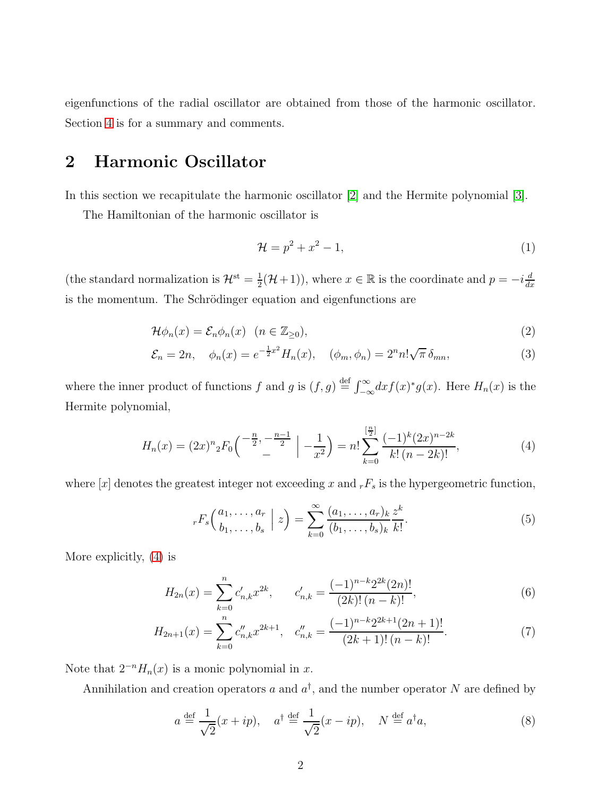eigenfunctions of the radial oscillator are obtained from those of the harmonic oscillator. Section [4](#page-6-0) is for a summary and comments.

# <span id="page-1-0"></span>2 Harmonic Oscillator

In this section we recapitulate the harmonic oscillator [\[2\]](#page-7-1) and the Hermite polynomial [\[3\]](#page-7-2).

The Hamiltonian of the harmonic oscillator is

<span id="page-1-4"></span>
$$
\mathcal{H} = p^2 + x^2 - 1,\tag{1}
$$

(the standard normalization is  $\mathcal{H}^{\text{st}} = \frac{1}{2}$  $(\frac{1}{2}(\mathcal{H}+1))$ , where  $x \in \mathbb{R}$  is the coordinate and  $p = -i\frac{d}{dx}$  $dx$ is the momentum. The Schrödinger equation and eigenfunctions are

$$
\mathcal{H}\phi_n(x) = \mathcal{E}_n \phi_n(x) \quad (n \in \mathbb{Z}_{\geq 0}),\tag{2}
$$

$$
\mathcal{E}_n = 2n, \quad \phi_n(x) = e^{-\frac{1}{2}x^2} H_n(x), \quad (\phi_m, \phi_n) = 2^n n! \sqrt{\pi} \, \delta_{mn}, \tag{3}
$$

where the inner product of functions f and g is  $(f, g) \stackrel{\text{def}}{=} \int_{-\infty}^{\infty} dx f(x)^* g(x)$ . Here  $H_n(x)$  is the Hermite polynomial,

<span id="page-1-1"></span>
$$
H_n(x) = (2x)^n {}_2F_0\left(\begin{array}{c} -\frac{n}{2}, -\frac{n-1}{2} \\ - \end{array} \Big| -\frac{1}{x^2} \right) = n! \sum_{k=0}^{\left[\frac{n}{2}\right]} \frac{(-1)^k (2x)^{n-2k}}{k! \left(n-2k\right)!},\tag{4}
$$

where  $[x]$  denotes the greatest integer not exceeding x and  $_rF_s$  is the hypergeometric function,

<span id="page-1-3"></span><span id="page-1-2"></span>
$$
_{r}F_{s}\left(\begin{array}{c}a_{1},\ldots,a_{r}\\b_{1},\ldots,b_{s}\end{array}\Big| z\right)=\sum_{k=0}^{\infty}\frac{(a_{1},\ldots,a_{r})_{k}}{(b_{1},\ldots,b_{s})_{k}}\frac{z^{k}}{k!}.
$$
 (5)

More explicitly, [\(4\)](#page-1-1) is

$$
H_{2n}(x) = \sum_{k=0}^{n} c'_{n,k} x^{2k}, \qquad c'_{n,k} = \frac{(-1)^{n-k} 2^{2k} (2n)!}{(2k)! (n-k)!},
$$
\n(6)

$$
H_{2n+1}(x) = \sum_{k=0}^{n} c_{n,k}'' x^{2k+1}, \quad c_{n,k}'' = \frac{(-1)^{n-k} 2^{2k+1} (2n+1)!}{(2k+1)! (n-k)!}.
$$
 (7)

Note that  $2^{-n}H_n(x)$  is a monic polynomial in x.

Annihilation and creation operators a and  $a^{\dagger}$ , and the number operator N are defined by

$$
a \stackrel{\text{def}}{=} \frac{1}{\sqrt{2}}(x+ip), \quad a^{\dagger} \stackrel{\text{def}}{=} \frac{1}{\sqrt{2}}(x-ip), \quad N \stackrel{\text{def}}{=} a^{\dagger}a,
$$
 (8)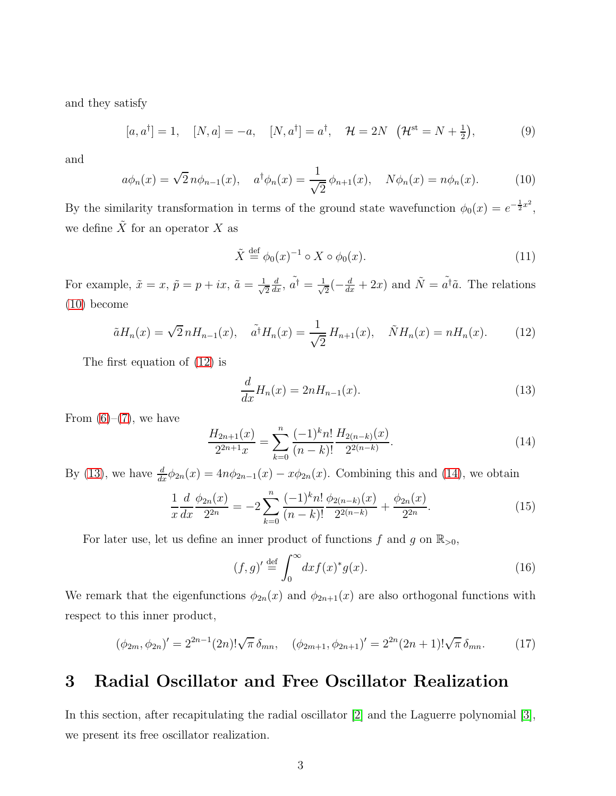and they satisfy

$$
[a, a†] = 1, \quad [N, a] = -a, \quad [N, a†] = a†, \quad \mathcal{H} = 2N \quad (\mathcal{H}^{\text{st}} = N + \frac{1}{2}), \tag{9}
$$

and

<span id="page-2-0"></span>
$$
a\phi_n(x) = \sqrt{2} n\phi_{n-1}(x), \quad a^{\dagger}\phi_n(x) = \frac{1}{\sqrt{2}} \phi_{n+1}(x), \quad N\phi_n(x) = n\phi_n(x). \tag{10}
$$

By the similarity transformation in terms of the ground state wavefunction  $\phi_0(x) = e^{-\frac{1}{2}x^2}$ , we define  $\tilde{X}$  for an operator X as

$$
\tilde{X} \stackrel{\text{def}}{=} \phi_0(x)^{-1} \circ X \circ \phi_0(x). \tag{11}
$$

For example,  $\tilde{x} = x$ ,  $\tilde{p} = p + ix$ ,  $\tilde{a} = \frac{1}{\sqrt{2}}$ 2  $\frac{d}{dx}$ ,  $\tilde{a}^{\dagger} = \frac{1}{\sqrt{2}}$  $\frac{1}{2}(-\frac{d}{dx}+2x)$  and  $\tilde{N}=\tilde{a}^{\dagger}\tilde{a}$ . The relations [\(10\)](#page-2-0) become

<span id="page-2-1"></span>
$$
\tilde{a}H_n(x) = \sqrt{2}nH_{n-1}(x), \quad \tilde{a}^\dagger H_n(x) = \frac{1}{\sqrt{2}}H_{n+1}(x), \quad \tilde{N}H_n(x) = nH_n(x). \tag{12}
$$

The first equation of [\(12\)](#page-2-1) is

<span id="page-2-2"></span>
$$
\frac{d}{dx}H_n(x) = 2nH_{n-1}(x). \tag{13}
$$

From  $(6)-(7)$  $(6)-(7)$ , we have

<span id="page-2-3"></span>
$$
\frac{H_{2n+1}(x)}{2^{2n+1}x} = \sum_{k=0}^{n} \frac{(-1)^k n!}{(n-k)!} \frac{H_{2(n-k)}(x)}{2^{2(n-k)}}.
$$
\n(14)

By [\(13\)](#page-2-2), we have  $\frac{d}{dx}\phi_{2n}(x) = 4n\phi_{2n-1}(x) - x\phi_{2n}(x)$ . Combining this and [\(14\)](#page-2-3), we obtain

<span id="page-2-4"></span>
$$
\frac{1}{x}\frac{d}{dx}\frac{\phi_{2n}(x)}{2^{2n}} = -2\sum_{k=0}^{n} \frac{(-1)^k n!}{(n-k)!} \frac{\phi_{2(n-k)}(x)}{2^{2(n-k)}} + \frac{\phi_{2n}(x)}{2^{2n}}.
$$
\n(15)

For later use, let us define an inner product of functions  $f$  and  $g$  on  $\mathbb{R}_{>0}$ ,

$$
(f,g)' \stackrel{\text{def}}{=} \int_0^\infty dx f(x)^* g(x). \tag{16}
$$

We remark that the eigenfunctions  $\phi_{2n}(x)$  and  $\phi_{2n+1}(x)$  are also orthogonal functions with respect to this inner product,

$$
(\phi_{2m}, \phi_{2n})' = 2^{2n-1}(2n)! \sqrt{\pi} \,\delta_{mn}, \quad (\phi_{2m+1}, \phi_{2n+1})' = 2^{2n}(2n+1)! \sqrt{\pi} \,\delta_{mn}.\tag{17}
$$

## 3 Radial Oscillator and Free Oscillator Realization

In this section, after recapitulating the radial oscillator [\[2\]](#page-7-1) and the Laguerre polynomial [\[3\]](#page-7-2), we present its free oscillator realization.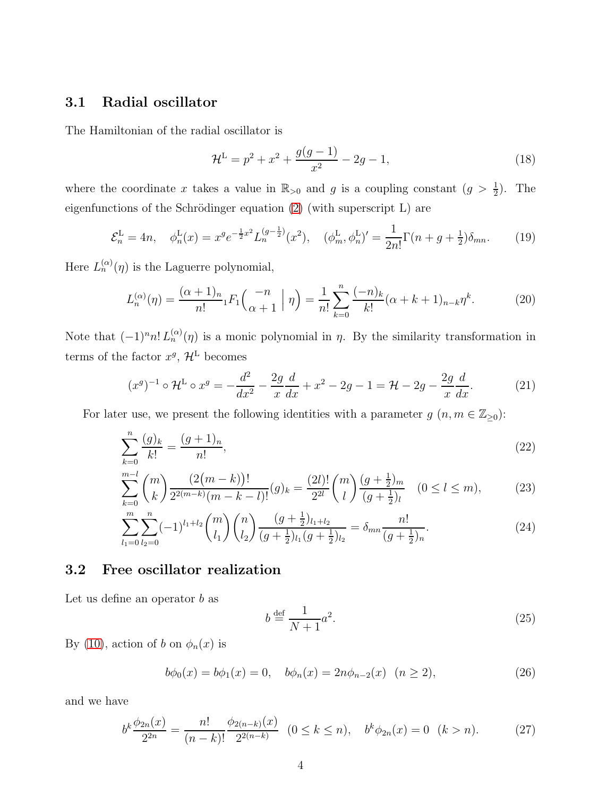### <span id="page-3-0"></span>3.1 Radial oscillator

The Hamiltonian of the radial oscillator is

$$
\mathcal{H}^{\mathcal{L}} = p^2 + x^2 + \frac{g(g-1)}{x^2} - 2g - 1,\tag{18}
$$

where the coordinate x takes a value in  $\mathbb{R}_{>0}$  and g is a coupling constant  $(g > \frac{1}{2})$ . The eigenfunctions of the Schrödinger equation  $(2)$  (with superscript L) are

<span id="page-3-7"></span>
$$
\mathcal{E}_n^{\mathcal{L}} = 4n, \quad \phi_n^{\mathcal{L}}(x) = x^g e^{-\frac{1}{2}x^2} L_n^{(g-\frac{1}{2})}(x^2), \quad (\phi_m^{\mathcal{L}}, \phi_n^{\mathcal{L}})' = \frac{1}{2n!} \Gamma(n+g+\frac{1}{2}) \delta_{mn}.
$$
 (19)

Here  $L_n^{(\alpha)}(\eta)$  is the Laguerre polynomial,

$$
L_n^{(\alpha)}(\eta) = \frac{(\alpha+1)_n}{n!} {}_1F_1\left(\frac{-n}{\alpha+1} \mid \eta\right) = \frac{1}{n!} \sum_{k=0}^n \frac{(-n)_k}{k!} (\alpha+k+1)_{n-k} \eta^k.
$$
 (20)

Note that  $(-1)^n n! L_n^{(\alpha)}(\eta)$  is a monic polynomial in  $\eta$ . By the similarity transformation in terms of the factor  $x^g$ ,  $\mathcal{H}^L$  becomes

<span id="page-3-3"></span>
$$
(x^g)^{-1} \circ \mathcal{H}^{\mathcal{L}} \circ x^g = -\frac{d^2}{dx^2} - \frac{2g}{x}\frac{d}{dx} + x^2 - 2g - 1 = \mathcal{H} - 2g - \frac{2g}{x}\frac{d}{dx}.
$$
 (21)

For later use, we present the following identities with a parameter  $g(n, m \in \mathbb{Z}_{\geq 0})$ :

$$
\sum_{k=0}^{n} \frac{(g)_k}{k!} = \frac{(g+1)_n}{n!},
$$
\n(22)

$$
\sum_{k=0}^{m-l} \binom{m}{k} \frac{(2(m-k))!}{2^{2(m-k)}(m-k-l)!} (g)_k = \frac{(2l)!}{2^{2l}} \binom{m}{l} \frac{(g+\frac{1}{2})_m}{(g+\frac{1}{2})_l} \quad (0 \le l \le m),\tag{23}
$$

$$
\sum_{l_1=0}^{m} \sum_{l_2=0}^{n} (-1)^{l_1+l_2} \binom{m}{l_1} \binom{n}{l_2} \frac{(g+\frac{1}{2})_{l_1+l_2}}{(g+\frac{1}{2})_{l_1}(g+\frac{1}{2})_{l_2}} = \delta_{mn} \frac{n!}{(g+\frac{1}{2})_n}.\tag{24}
$$

#### <span id="page-3-1"></span>3.2 Free oscillator realization

Let us define an operator  $b$  as

<span id="page-3-6"></span><span id="page-3-5"></span><span id="page-3-4"></span>
$$
b \stackrel{\text{def}}{=} \frac{1}{N+1}a^2. \tag{25}
$$

By [\(10\)](#page-2-0), action of b on  $\phi_n(x)$  is

$$
b\phi_0(x) = b\phi_1(x) = 0, \quad b\phi_n(x) = 2n\phi_{n-2}(x) \quad (n \ge 2), \tag{26}
$$

and we have

<span id="page-3-2"></span>
$$
b^k \frac{\phi_{2n}(x)}{2^{2n}} = \frac{n!}{(n-k)!} \frac{\phi_{2(n-k)}(x)}{2^{2(n-k)}} \quad (0 \le k \le n), \quad b^k \phi_{2n}(x) = 0 \quad (k > n). \tag{27}
$$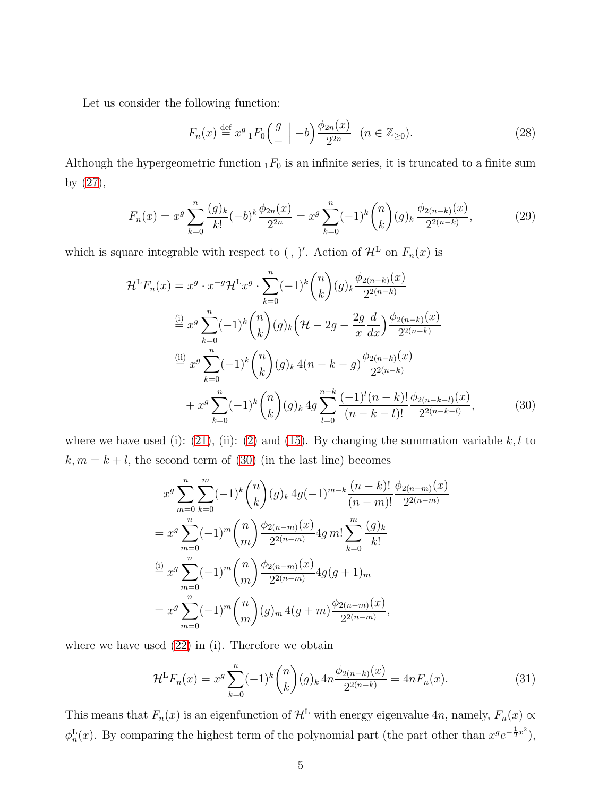Let us consider the following function:

$$
F_n(x) \stackrel{\text{def}}{=} x^g \, {}_1F_0\left(\begin{array}{c} g \\ - \end{array}\right) - b \bigg) \frac{\phi_{2n}(x)}{2^{2n}} \quad (n \in \mathbb{Z}_{\geq 0}).\tag{28}
$$

Although the hypergeometric function  $_1F_0$  is an infinite series, it is truncated to a finite sum by [\(27\)](#page-3-2),

<span id="page-4-1"></span>
$$
F_n(x) = x^g \sum_{k=0}^n \frac{(g)_k}{k!} (-b)^k \frac{\phi_{2n}(x)}{2^{2n}} = x^g \sum_{k=0}^n (-1)^k \binom{n}{k} (g)_k \frac{\phi_{2(n-k)}(x)}{2^{2(n-k)}},\tag{29}
$$

which is square integrable with respect to (, )'. Action of  $\mathcal{H}^L$  on  $F_n(x)$  is

$$
\mathcal{H}^{\mathcal{L}}F_n(x) = x^g \cdot x^{-g} \mathcal{H}^{\mathcal{L}}x^g \cdot \sum_{k=0}^n (-1)^k {n \choose k} (g)_k \frac{\phi_{2(n-k)}(x)}{2^{2(n-k)}}
$$
  
\n
$$
\stackrel{\text{(i)}}{=} x^g \sum_{k=0}^n (-1)^k {n \choose k} (g)_k \left(\mathcal{H} - 2g - \frac{2g}{x} \frac{d}{dx}\right) \frac{\phi_{2(n-k)}(x)}{2^{2(n-k)}}
$$
  
\n
$$
\stackrel{\text{(ii)}}{=} x^g \sum_{k=0}^n (-1)^k {n \choose k} (g)_k 4(n-k-g) \frac{\phi_{2(n-k)}(x)}{2^{2(n-k)}}
$$
  
\n
$$
+ x^g \sum_{k=0}^n (-1)^k {n \choose k} (g)_k 4g \sum_{l=0}^{n-k} \frac{(-1)^l (n-k)!}{(n-k-l)!} \frac{\phi_{2(n-k-l)}(x)}{2^{2(n-k-l)}},
$$
\n(30)

where we have used (i): [\(21\)](#page-3-3), (ii): [\(2\)](#page-1-4) and [\(15\)](#page-2-4). By changing the summation variable  $k, l$  to  $k, m = k + l$ , the second term of [\(30\)](#page-4-0) (in the last line) becomes

<span id="page-4-0"></span>
$$
x^{g} \sum_{m=0}^{n} \sum_{k=0}^{m} (-1)^{k} {n \choose k} (g)_{k} 4g(-1)^{m-k} \frac{(n-k)!}{(n-m)!} \frac{\phi_{2(n-m)}(x)}{2^{2(n-m)}}
$$
  
=  $x^{g} \sum_{m=0}^{n} (-1)^{m} {n \choose m} \frac{\phi_{2(n-m)}(x)}{2^{2(n-m)}} 4g m! \sum_{k=0}^{m} \frac{(g)_{k}}{k!}$   

$$
\stackrel{\text{(i)}}{=} x^{g} \sum_{m=0}^{n} (-1)^{m} {n \choose m} \frac{\phi_{2(n-m)}(x)}{2^{2(n-m)}} 4g(g+1)_{m}
$$
  
=  $x^{g} \sum_{m=0}^{n} (-1)^{m} {n \choose m} (g)_{m} 4(g+m) \frac{\phi_{2(n-m)}(x)}{2^{2(n-m)}},$ 

where we have used  $(22)$  in (i). Therefore we obtain

$$
\mathcal{H}^{\mathcal{L}}F_n(x) = x^g \sum_{k=0}^n (-1)^k \binom{n}{k} (g)_k 4n \frac{\phi_{2(n-k)}(x)}{2^{2(n-k)}} = 4nF_n(x). \tag{31}
$$

This means that  $F_n(x)$  is an eigenfunction of  $\mathcal{H}^L$  with energy eigenvalue 4n, namely,  $F_n(x) \propto$  $\phi_n^L(x)$ . By comparing the highest term of the polynomial part (the part other than  $x^ge^{-\frac{1}{2}x^2}$ ),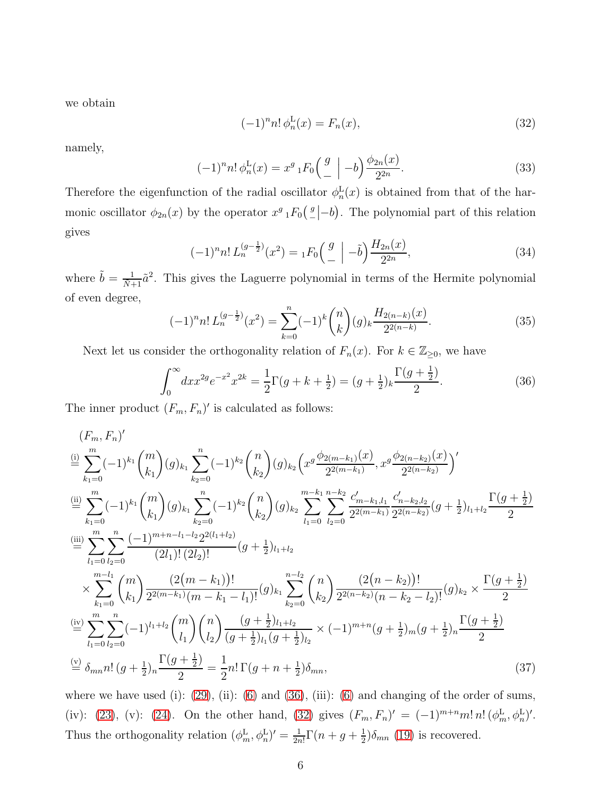we obtain

<span id="page-5-1"></span>
$$
(-1)^{n} n! \phi_n^{\mathcal{L}}(x) = F_n(x), \tag{32}
$$

namely,

<span id="page-5-2"></span>
$$
(-1)^{n} n! \phi_n^{\mathcal{L}}(x) = x^g \, {}_1F_0\left(\begin{array}{c} g \\ - \end{array}\right) - b \frac{\phi_{2n}(x)}{2^{2n}}.
$$
 (33)

Therefore the eigenfunction of the radial oscillator  $\phi_n^{\mathcal{L}}(x)$  is obtained from that of the harmonic oscillator  $\phi_{2n}(x)$  by the operator  $x^g \, {}_1F_0\left({g \over 2}\right)$  $\binom{g}{-}$  –*b*). The polynomial part of this relation gives

<span id="page-5-3"></span>
$$
(-1)^{n} n! L_{n}^{(g-\frac{1}{2})}(x^{2}) = {}_{1}F_{0}\left(\frac{g}{-}\left|-\tilde{b}\right\rangle \frac{H_{2n}(x)}{2^{2n}},\right)
$$
\n(34)

where  $\tilde{b} = \frac{1}{\tilde{N}+1} \tilde{a}^2$ . This gives the Laguerre polynomial in terms of the Hermite polynomial of even degree,

<span id="page-5-4"></span>
$$
(-1)^{n} n! L_{n}^{(g-\frac{1}{2})}(x^{2}) = \sum_{k=0}^{n} (-1)^{k} {n \choose k} (g)_{k} \frac{H_{2(n-k)}(x)}{2^{2(n-k)}}.
$$
 (35)

Next let us consider the orthogonality relation of  $F_n(x)$ . For  $k \in \mathbb{Z}_{\geq 0}$ , we have

<span id="page-5-0"></span>
$$
\int_0^\infty dx x^{2g} e^{-x^2} x^{2k} = \frac{1}{2} \Gamma(g + k + \frac{1}{2}) = (g + \frac{1}{2})_k \frac{\Gamma(g + \frac{1}{2})}{2}.
$$
 (36)

The inner product  $(F_m, F_n)'$  is calculated as follows:

$$
(F_m, F_n)'
$$
\n
$$
\stackrel{\text{(i)}}{=} \sum_{k_1=0}^m (-1)^{k_1} \binom{m}{k_1} (g)_{k_1} \sum_{k_2=0}^n (-1)^{k_2} \binom{n}{k_2} (g)_{k_2} \left( x^g \frac{\phi_{2(m-k_1)}(x)}{2^{2(m-k_1)}}, x^g \frac{\phi_{2(n-k_2)}(x)}{2^{2(n-k_2)}} \right)'
$$
\n
$$
\stackrel{\text{(ii)}}{=} \sum_{k_1=0}^m (-1)^{k_1} \binom{m}{k_1} (g)_{k_1} \sum_{k_2=0}^n (-1)^{k_2} \binom{n}{k_2} (g)_{k_2} \sum_{l_1=0}^{m-k_1} \sum_{l_2=0}^{n-k_2} \frac{c'_{m-k_1,l_1}}{2^{2(m-k_1)}} \frac{c'_{n-k_2,l_2}}{2^{2(n-k_2)}} (g + \frac{1}{2})_{l_1+l_2} \frac{\Gamma(g + \frac{1}{2})}{2}
$$
\n
$$
\stackrel{\text{(iii)}}{=} \sum_{l_1=0}^m \sum_{l_2=0}^n \frac{(-1)^{m+n-l_1-l_2} 2^{2(l_1+l_2)}}{(2l_1)!(2l_2)!} (g + \frac{1}{2})_{l_1+l_2}
$$
\n
$$
\times \sum_{k_1=0}^{m-l_1} \binom{m}{k_1} \frac{(2(m-k_1))!}{2^{2(m-k_1)}(m-k_1-l_1)!} (g)_{k_1} \sum_{k_2=0}^{n-l_2} \binom{n}{k_2} \frac{(2(n-k_2))!}{2^{2(n-k_2)}(n-k_2-l_2)!} (g)_{k_2} \times \frac{\Gamma(g + \frac{1}{2})}{2}
$$
\n
$$
\stackrel{\text{(iv)}}{=} \sum_{l_1=0}^m \sum_{l_2=0}^n (-1)^{l_1+l_2} \binom{m}{l_1} \binom{n}{l_2} \frac{(g + \frac{1}{2})_{l_1+l_2}}{(g + \frac{1}{2})_{l_1}} (g + \frac{1}{2})_{l_2} \times (-1)^{m+n} (g + \frac{1}{2})_m (g + \frac{1}{2})
$$

where we have used (i):  $(29)$ , (ii):  $(6)$  and  $(36)$ , (iii):  $(6)$  and changing of the order of sums, (iv): [\(23\)](#page-3-5), (v): [\(24\)](#page-3-6). On the other hand, [\(32\)](#page-5-1) gives  $(F_m, F_n)' = (-1)^{m+n} m! n! (\phi_m^L, \phi_n^L)'$ . Thus the orthogonality relation  $(\phi_m^{\text{L}}, \phi_n^{\text{L}})' = \frac{1}{2n}$  $\frac{1}{2n!}\Gamma(n+g+\frac{1}{2})$  $\frac{1}{2}$ ) $\delta_{mn}$  [\(19\)](#page-3-7) is recovered.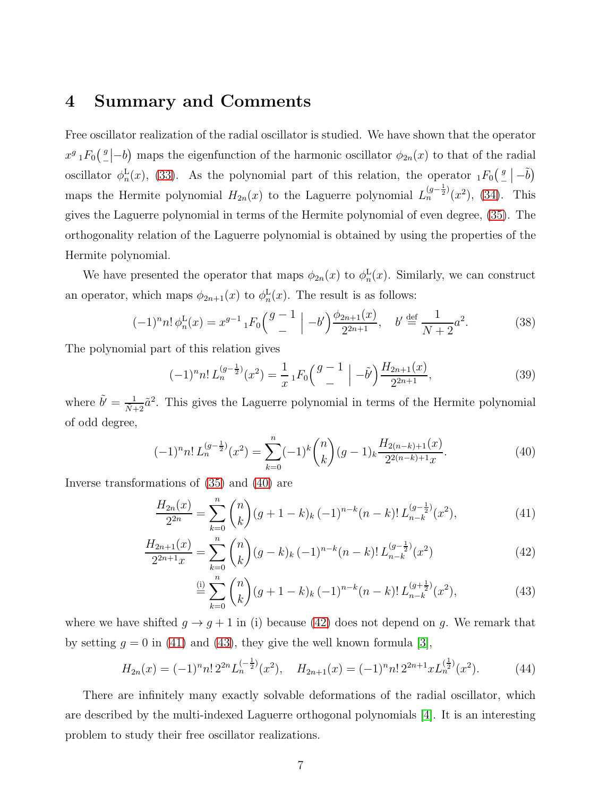### <span id="page-6-0"></span>4 Summary and Comments

Free oscillator realization of the radial oscillator is studied. We have shown that the operator  $x^g \, {}_1F_0\left({g \over -1}\right)$  $\frac{g}{-}$  |-b) maps the eigenfunction of the harmonic oscillator  $\phi_{2n}(x)$  to that of the radial oscillator  $\phi_n^{\rm L}(x)$ , [\(33\)](#page-5-2). As the polynomial part of this relation, the operator  ${}_1F_0\left({}^g_-\right)$  $\frac{g}{-}\left(-\tilde{b}\right)$ maps the Hermite polynomial  $H_{2n}(x)$  to the Laguerre polynomial  $L_n^{(g-\frac{1}{2})}(x^2)$ , [\(34\)](#page-5-3). This gives the Laguerre polynomial in terms of the Hermite polynomial of even degree, [\(35\)](#page-5-4). The orthogonality relation of the Laguerre polynomial is obtained by using the properties of the Hermite polynomial.

We have presented the operator that maps  $\phi_{2n}(x)$  to  $\phi_n^{\mathcal{L}}(x)$ . Similarly, we can construct an operator, which maps  $\phi_{2n+1}(x)$  to  $\phi_n^{\text{L}}(x)$ . The result is as follows:

$$
(-1)^{n} n! \phi_n^{\mathcal{L}}(x) = x^{g-1} {}_1F_0 \left( \begin{array}{c} g-1\\- \end{array} \Big| -b' \right) \frac{\phi_{2n+1}(x)}{2^{2n+1}}, \quad b' \stackrel{\text{def}}{=} \frac{1}{N+2} a^2. \tag{38}
$$

The polynomial part of this relation gives

$$
(-1)^{n} n! L_{n}^{(g-\frac{1}{2})}(x^{2}) = \frac{1}{x} {}_{1}F_{0}\left(\begin{array}{c}g-1\\-\end{array}\right) - \tilde{b}'\right) \frac{H_{2n+1}(x)}{2^{2n+1}},
$$
\n(39)

where  $\tilde{b}' = \frac{1}{\tilde{N}+2} \tilde{a}^2$ . This gives the Laguerre polynomial in terms of the Hermite polynomial of odd degree,

<span id="page-6-1"></span>
$$
(-1)^{n} n! L_{n}^{(g-\frac{1}{2})}(x^{2}) = \sum_{k=0}^{n} (-1)^{k} {n \choose k} (g-1)_{k} \frac{H_{2(n-k)+1}(x)}{2^{2(n-k)+1}x}.
$$
 (40)

Inverse transformations of [\(35\)](#page-5-4) and [\(40\)](#page-6-1) are

$$
\frac{H_{2n}(x)}{2^{2n}} = \sum_{k=0}^{n} {n \choose k} (g+1-k)_k (-1)^{n-k} (n-k)! L_{n-k}^{(g-\frac{1}{2})}(x^2),
$$
\n(41)

$$
\frac{H_{2n+1}(x)}{2^{2n+1}x} = \sum_{k=0}^{n} \binom{n}{k} (g-k)_k (-1)^{n-k} (n-k)! L_{n-k}^{(g-\frac{1}{2})}(x^2)
$$
\n(42)

<span id="page-6-4"></span><span id="page-6-3"></span><span id="page-6-2"></span>
$$
\stackrel{\text{(i)}}{=} \sum_{k=0}^{n} \binom{n}{k} (g+1-k)_k (-1)^{n-k} (n-k)! L_{n-k}^{(g+\frac{1}{2})} (x^2), \tag{43}
$$

where we have shifted  $g \to g + 1$  in (i) because [\(42\)](#page-6-2) does not depend on g. We remark that by setting  $g = 0$  in [\(41\)](#page-6-3) and [\(43\)](#page-6-4), they give the well known formula [\[3\]](#page-7-2),

$$
H_{2n}(x) = (-1)^n n! \, 2^{2n} L_n^{(-\frac{1}{2})}(x^2), \quad H_{2n+1}(x) = (-1)^n n! \, 2^{2n+1} x L_n^{(\frac{1}{2})}(x^2). \tag{44}
$$

There are infinitely many exactly solvable deformations of the radial oscillator, which are described by the multi-indexed Laguerre orthogonal polynomials [\[4\]](#page-7-3). It is an interesting problem to study their free oscillator realizations.